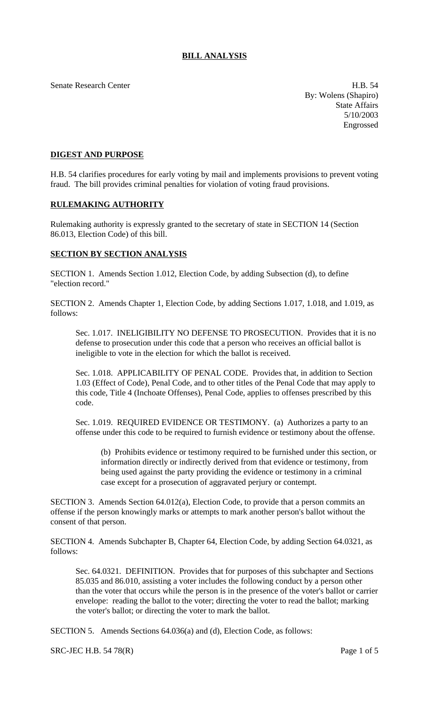Senate Research Center **H.B.** 54

By: Wolens (Shapiro) State Affairs 5/10/2003 Engrossed

## **DIGEST AND PURPOSE**

H.B. 54 clarifies procedures for early voting by mail and implements provisions to prevent voting fraud. The bill provides criminal penalties for violation of voting fraud provisions.

## **RULEMAKING AUTHORITY**

Rulemaking authority is expressly granted to the secretary of state in SECTION 14 (Section 86.013, Election Code) of this bill.

## **SECTION BY SECTION ANALYSIS**

SECTION 1. Amends Section 1.012, Election Code, by adding Subsection (d), to define "election record."

SECTION 2. Amends Chapter 1, Election Code, by adding Sections 1.017, 1.018, and 1.019, as follows:

Sec. 1.017. INELIGIBILITY NO DEFENSE TO PROSECUTION. Provides that it is no defense to prosecution under this code that a person who receives an official ballot is ineligible to vote in the election for which the ballot is received.

Sec. 1.018. APPLICABILITY OF PENAL CODE. Provides that, in addition to Section 1.03 (Effect of Code), Penal Code, and to other titles of the Penal Code that may apply to this code, Title 4 (Inchoate Offenses), Penal Code, applies to offenses prescribed by this code.

Sec. 1.019. REQUIRED EVIDENCE OR TESTIMONY. (a) Authorizes a party to an offense under this code to be required to furnish evidence or testimony about the offense.

(b) Prohibits evidence or testimony required to be furnished under this section, or information directly or indirectly derived from that evidence or testimony, from being used against the party providing the evidence or testimony in a criminal case except for a prosecution of aggravated perjury or contempt.

SECTION 3. Amends Section 64.012(a), Election Code, to provide that a person commits an offense if the person knowingly marks or attempts to mark another person's ballot without the consent of that person.

SECTION 4. Amends Subchapter B, Chapter 64, Election Code, by adding Section 64.0321, as follows:

Sec. 64.0321. DEFINITION. Provides that for purposes of this subchapter and Sections 85.035 and 86.010, assisting a voter includes the following conduct by a person other than the voter that occurs while the person is in the presence of the voter's ballot or carrier envelope: reading the ballot to the voter; directing the voter to read the ballot; marking the voter's ballot; or directing the voter to mark the ballot.

SECTION 5. Amends Sections 64.036(a) and (d), Election Code, as follows:

SRC-JEC H.B.  $54\,78(R)$  Page 1 of 5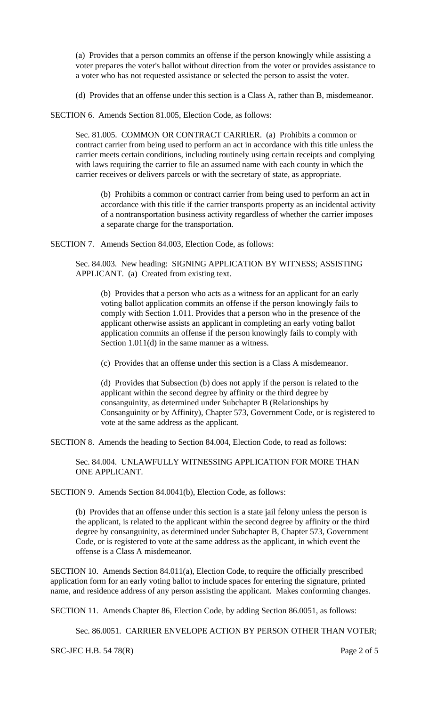(a) Provides that a person commits an offense if the person knowingly while assisting a voter prepares the voter's ballot without direction from the voter or provides assistance to a voter who has not requested assistance or selected the person to assist the voter.

(d) Provides that an offense under this section is a Class A, rather than B, misdemeanor.

SECTION 6. Amends Section 81.005, Election Code, as follows:

Sec. 81.005. COMMON OR CONTRACT CARRIER. (a) Prohibits a common or contract carrier from being used to perform an act in accordance with this title unless the carrier meets certain conditions, including routinely using certain receipts and complying with laws requiring the carrier to file an assumed name with each county in which the carrier receives or delivers parcels or with the secretary of state, as appropriate.

(b) Prohibits a common or contract carrier from being used to perform an act in accordance with this title if the carrier transports property as an incidental activity of a nontransportation business activity regardless of whether the carrier imposes a separate charge for the transportation.

SECTION 7. Amends Section 84.003, Election Code, as follows:

Sec. 84.003. New heading: SIGNING APPLICATION BY WITNESS; ASSISTING APPLICANT. (a) Created from existing text.

(b) Provides that a person who acts as a witness for an applicant for an early voting ballot application commits an offense if the person knowingly fails to comply with Section 1.011. Provides that a person who in the presence of the applicant otherwise assists an applicant in completing an early voting ballot application commits an offense if the person knowingly fails to comply with Section 1.011(d) in the same manner as a witness.

(c) Provides that an offense under this section is a Class A misdemeanor.

(d) Provides that Subsection (b) does not apply if the person is related to the applicant within the second degree by affinity or the third degree by consanguinity, as determined under Subchapter B (Relationships by Consanguinity or by Affinity), Chapter 573, Government Code, or is registered to vote at the same address as the applicant.

SECTION 8. Amends the heading to Section 84.004, Election Code, to read as follows:

Sec. 84.004. UNLAWFULLY WITNESSING APPLICATION FOR MORE THAN ONE APPLICANT.

SECTION 9. Amends Section 84.0041(b), Election Code, as follows:

(b) Provides that an offense under this section is a state jail felony unless the person is the applicant, is related to the applicant within the second degree by affinity or the third degree by consanguinity, as determined under Subchapter B, Chapter 573, Government Code, or is registered to vote at the same address as the applicant, in which event the offense is a Class A misdemeanor.

SECTION 10. Amends Section 84.011(a), Election Code, to require the officially prescribed application form for an early voting ballot to include spaces for entering the signature, printed name, and residence address of any person assisting the applicant. Makes conforming changes.

SECTION 11. Amends Chapter 86, Election Code, by adding Section 86.0051, as follows:

Sec. 86.0051. CARRIER ENVELOPE ACTION BY PERSON OTHER THAN VOTER;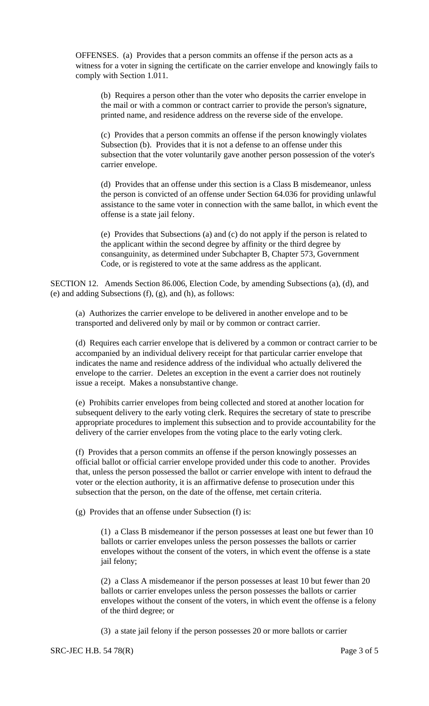OFFENSES. (a) Provides that a person commits an offense if the person acts as a witness for a voter in signing the certificate on the carrier envelope and knowingly fails to comply with Section 1.011.

(b) Requires a person other than the voter who deposits the carrier envelope in the mail or with a common or contract carrier to provide the person's signature, printed name, and residence address on the reverse side of the envelope.

(c) Provides that a person commits an offense if the person knowingly violates Subsection (b). Provides that it is not a defense to an offense under this subsection that the voter voluntarily gave another person possession of the voter's carrier envelope.

(d) Provides that an offense under this section is a Class B misdemeanor, unless the person is convicted of an offense under Section 64.036 for providing unlawful assistance to the same voter in connection with the same ballot, in which event the offense is a state jail felony.

(e) Provides that Subsections (a) and (c) do not apply if the person is related to the applicant within the second degree by affinity or the third degree by consanguinity, as determined under Subchapter B, Chapter 573, Government Code, or is registered to vote at the same address as the applicant.

SECTION 12. Amends Section 86.006, Election Code, by amending Subsections (a), (d), and (e) and adding Subsections (f), (g), and (h), as follows:

(a) Authorizes the carrier envelope to be delivered in another envelope and to be transported and delivered only by mail or by common or contract carrier.

(d) Requires each carrier envelope that is delivered by a common or contract carrier to be accompanied by an individual delivery receipt for that particular carrier envelope that indicates the name and residence address of the individual who actually delivered the envelope to the carrier. Deletes an exception in the event a carrier does not routinely issue a receipt. Makes a nonsubstantive change.

(e) Prohibits carrier envelopes from being collected and stored at another location for subsequent delivery to the early voting clerk. Requires the secretary of state to prescribe appropriate procedures to implement this subsection and to provide accountability for the delivery of the carrier envelopes from the voting place to the early voting clerk.

(f) Provides that a person commits an offense if the person knowingly possesses an official ballot or official carrier envelope provided under this code to another. Provides that, unless the person possessed the ballot or carrier envelope with intent to defraud the voter or the election authority, it is an affirmative defense to prosecution under this subsection that the person, on the date of the offense, met certain criteria.

(g) Provides that an offense under Subsection (f) is:

(1) a Class B misdemeanor if the person possesses at least one but fewer than 10 ballots or carrier envelopes unless the person possesses the ballots or carrier envelopes without the consent of the voters, in which event the offense is a state jail felony;

(2) a Class A misdemeanor if the person possesses at least 10 but fewer than 20 ballots or carrier envelopes unless the person possesses the ballots or carrier envelopes without the consent of the voters, in which event the offense is a felony of the third degree; or

(3) a state jail felony if the person possesses 20 or more ballots or carrier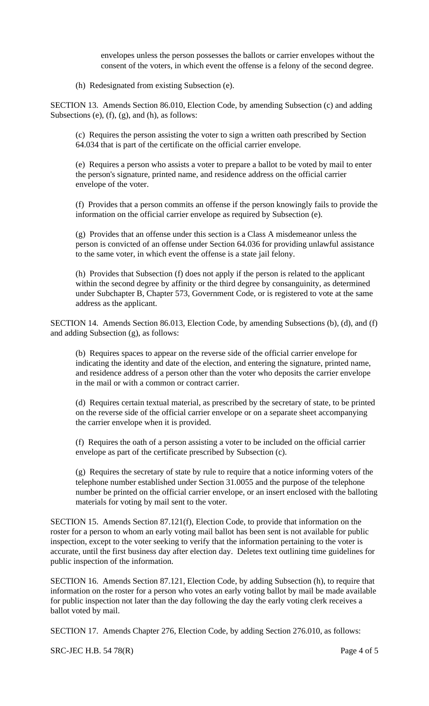envelopes unless the person possesses the ballots or carrier envelopes without the consent of the voters, in which event the offense is a felony of the second degree.

(h) Redesignated from existing Subsection (e).

SECTION 13. Amends Section 86.010, Election Code, by amending Subsection (c) and adding Subsections (e), (f), (g), and (h), as follows:

(c) Requires the person assisting the voter to sign a written oath prescribed by Section 64.034 that is part of the certificate on the official carrier envelope.

(e) Requires a person who assists a voter to prepare a ballot to be voted by mail to enter the person's signature, printed name, and residence address on the official carrier envelope of the voter.

(f) Provides that a person commits an offense if the person knowingly fails to provide the information on the official carrier envelope as required by Subsection (e).

(g) Provides that an offense under this section is a Class A misdemeanor unless the person is convicted of an offense under Section 64.036 for providing unlawful assistance to the same voter, in which event the offense is a state jail felony.

(h) Provides that Subsection (f) does not apply if the person is related to the applicant within the second degree by affinity or the third degree by consanguinity, as determined under Subchapter B, Chapter 573, Government Code, or is registered to vote at the same address as the applicant.

SECTION 14. Amends Section 86.013, Election Code, by amending Subsections (b), (d), and (f) and adding Subsection (g), as follows:

(b) Requires spaces to appear on the reverse side of the official carrier envelope for indicating the identity and date of the election, and entering the signature, printed name, and residence address of a person other than the voter who deposits the carrier envelope in the mail or with a common or contract carrier.

(d) Requires certain textual material, as prescribed by the secretary of state, to be printed on the reverse side of the official carrier envelope or on a separate sheet accompanying the carrier envelope when it is provided.

(f) Requires the oath of a person assisting a voter to be included on the official carrier envelope as part of the certificate prescribed by Subsection (c).

(g) Requires the secretary of state by rule to require that a notice informing voters of the telephone number established under Section 31.0055 and the purpose of the telephone number be printed on the official carrier envelope, or an insert enclosed with the balloting materials for voting by mail sent to the voter.

SECTION 15. Amends Section 87.121(f), Election Code, to provide that information on the roster for a person to whom an early voting mail ballot has been sent is not available for public inspection, except to the voter seeking to verify that the information pertaining to the voter is accurate, until the first business day after election day. Deletes text outlining time guidelines for public inspection of the information.

SECTION 16. Amends Section 87.121, Election Code, by adding Subsection (h), to require that information on the roster for a person who votes an early voting ballot by mail be made available for public inspection not later than the day following the day the early voting clerk receives a ballot voted by mail.

SECTION 17. Amends Chapter 276, Election Code, by adding Section 276.010, as follows:

SRC-JEC H.B. 54 78(R) Page 4 of 5